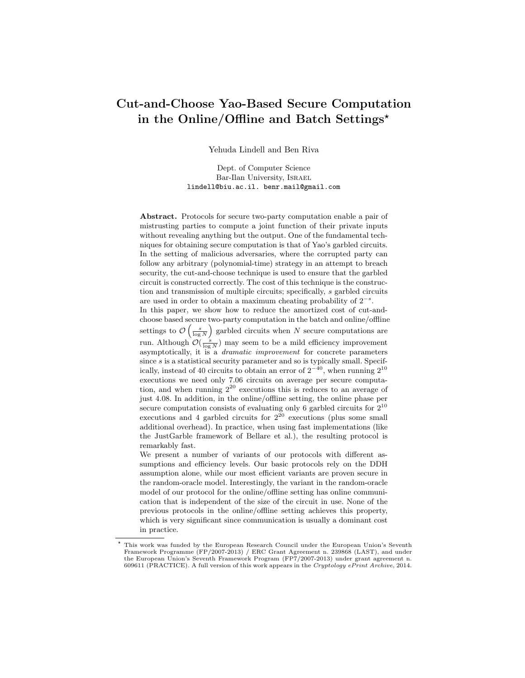# Cut-and-Choose Yao-Based Secure Computation in the Online/Offline and Batch Settings?

Yehuda Lindell and Ben Riva

Dept. of Computer Science Bar-Ilan University, ISRAEL lindell@biu.ac.il. benr.mail@gmail.com

Abstract. Protocols for secure two-party computation enable a pair of mistrusting parties to compute a joint function of their private inputs without revealing anything but the output. One of the fundamental techniques for obtaining secure computation is that of Yao's garbled circuits. In the setting of malicious adversaries, where the corrupted party can follow any arbitrary (polynomial-time) strategy in an attempt to breach security, the cut-and-choose technique is used to ensure that the garbled circuit is constructed correctly. The cost of this technique is the construction and transmission of multiple circuits; specifically, s garbled circuits are used in order to obtain a maximum cheating probability of  $2^{-s}$ . In this paper, we show how to reduce the amortized cost of cut-and-

choose based secure two-party computation in the batch and online/offline settings to  $\mathcal{O}\left(\frac{s}{\log N}\right)$  garbled circuits when N secure computations are run. Although  $\mathcal{O}(\frac{s}{\log N})$  may seem to be a mild efficiency improvement asymptotically, it is a dramatic improvement for concrete parameters since s is a statistical security parameter and so is typically small. Specifically, instead of 40 circuits to obtain an error of  $2^{-40}$ , when running  $2^{10}$ executions we need only 7.06 circuits on average per secure computation, and when running  $2^{20}$  executions this is reduces to an average of just 4.08. In addition, in the online/offline setting, the online phase per secure computation consists of evaluating only 6 garbled circuits for  $2^{10}$ executions and 4 garbled circuits for  $2^{20}$  executions (plus some small additional overhead). In practice, when using fast implementations (like the JustGarble framework of Bellare et al.), the resulting protocol is remarkably fast.

We present a number of variants of our protocols with different assumptions and efficiency levels. Our basic protocols rely on the DDH assumption alone, while our most efficient variants are proven secure in the random-oracle model. Interestingly, the variant in the random-oracle model of our protocol for the online/offline setting has online communication that is independent of the size of the circuit in use. None of the previous protocols in the online/offline setting achieves this property, which is very significant since communication is usually a dominant cost in practice.

<sup>?</sup> This work was funded by the European Research Council under the European Union's Seventh Framework Programme (FP/2007-2013) / ERC Grant Agreement n. 239868 (LAST), and under the European Union's Seventh Framework Program (FP7/2007-2013) under grant agreement n. 609611 (PRACTICE). A full version of this work appears in the Cryptology ePrint Archive, 2014.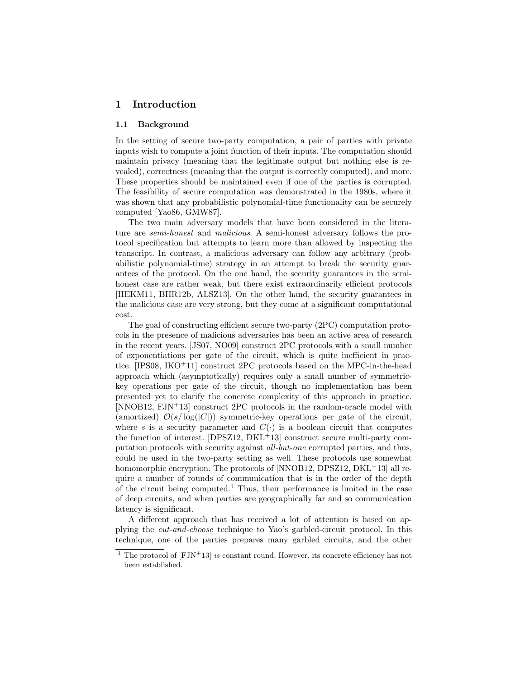# 1 Introduction

#### 1.1 Background

In the setting of secure two-party computation, a pair of parties with private inputs wish to compute a joint function of their inputs. The computation should maintain privacy (meaning that the legitimate output but nothing else is revealed), correctness (meaning that the output is correctly computed), and more. These properties should be maintained even if one of the parties is corrupted. The feasibility of secure computation was demonstrated in the 1980s, where it was shown that any probabilistic polynomial-time functionality can be securely computed [Yao86, GMW87].

The two main adversary models that have been considered in the literature are semi-honest and malicious. A semi-honest adversary follows the protocol specification but attempts to learn more than allowed by inspecting the transcript. In contrast, a malicious adversary can follow any arbitrary (probabilistic polynomial-time) strategy in an attempt to break the security guarantees of the protocol. On the one hand, the security guarantees in the semihonest case are rather weak, but there exist extraordinarily efficient protocols [HEKM11, BHR12b, ALSZ13]. On the other hand, the security guarantees in the malicious case are very strong, but they come at a significant computational cost.

The goal of constructing efficient secure two-party (2PC) computation protocols in the presence of malicious adversaries has been an active area of research in the recent years. [JS07, NO09] construct 2PC protocols with a small number of exponentiations per gate of the circuit, which is quite inefficient in practice. [IPS08, IKO+11] construct 2PC protocols based on the MPC-in-the-head approach which (asymptotically) requires only a small number of symmetrickey operations per gate of the circuit, though no implementation has been presented yet to clarify the concrete complexity of this approach in practice. [NNOB12, FJN+13] construct 2PC protocols in the random-oracle model with (amortized)  $\mathcal{O}(s/\log(|C|))$  symmetric-key operations per gate of the circuit, where s is a security parameter and  $C(\cdot)$  is a boolean circuit that computes the function of interest.  $[DPSZ12, DKL+13]$  construct secure multi-party computation protocols with security against all-but-one corrupted parties, and thus, could be used in the two-party setting as well. These protocols use somewhat homomorphic encryption. The protocols of [NNOB12, DPSZ12, DKL<sup>+</sup>13] all require a number of rounds of communication that is in the order of the depth of the circuit being computed.<sup>1</sup> Thus, their performance is limited in the case of deep circuits, and when parties are geographically far and so communication latency is significant.

A different approach that has received a lot of attention is based on applying the cut-and-choose technique to Yao's garbled-circuit protocol. In this technique, one of the parties prepares many garbled circuits, and the other

<sup>&</sup>lt;sup>1</sup> The protocol of  $[FIN^+13]$  is constant round. However, its concrete efficiency has not been established.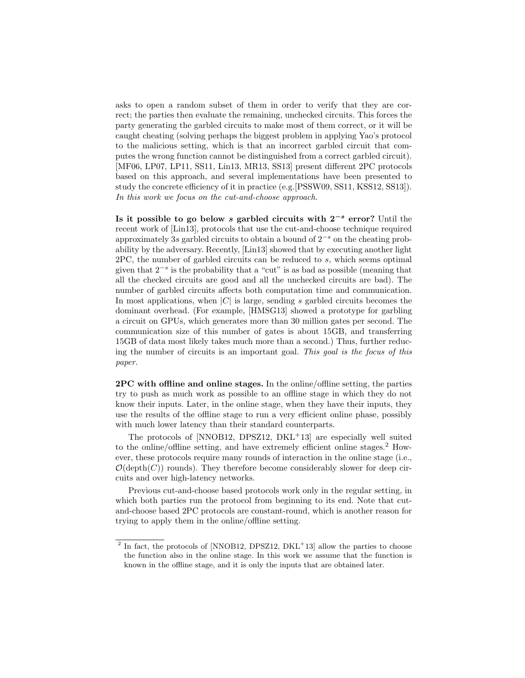asks to open a random subset of them in order to verify that they are correct; the parties then evaluate the remaining, unchecked circuits. This forces the party generating the garbled circuits to make most of them correct, or it will be caught cheating (solving perhaps the biggest problem in applying Yao's protocol to the malicious setting, which is that an incorrect garbled circuit that computes the wrong function cannot be distinguished from a correct garbled circuit). [MF06, LP07, LP11, SS11, Lin13, MR13, SS13] present different 2PC protocols based on this approach, and several implementations have been presented to study the concrete efficiency of it in practice (e.g.[PSSW09, SS11, KSS12, SS13]). In this work we focus on the cut-and-choose approach.

Is it possible to go below s garbled circuits with  $2^{-s}$  error? Until the recent work of [Lin13], protocols that use the cut-and-choose technique required approximately 3s garbled circuits to obtain a bound of  $2^{-s}$  on the cheating probability by the adversary. Recently, [Lin13] showed that by executing another light 2PC, the number of garbled circuits can be reduced to s, which seems optimal given that  $2^{-s}$  is the probability that a "cut" is as bad as possible (meaning that all the checked circuits are good and all the unchecked circuits are bad). The number of garbled circuits affects both computation time and communication. In most applications, when  $|C|$  is large, sending s garbled circuits becomes the dominant overhead. (For example, [HMSG13] showed a prototype for garbling a circuit on GPUs, which generates more than 30 million gates per second. The communication size of this number of gates is about 15GB, and transferring 15GB of data most likely takes much more than a second.) Thus, further reducing the number of circuits is an important goal. This goal is the focus of this paper.

2PC with offline and online stages. In the online/offline setting, the parties try to push as much work as possible to an offline stage in which they do not know their inputs. Later, in the online stage, when they have their inputs, they use the results of the offline stage to run a very efficient online phase, possibly with much lower latency than their standard counterparts.

The protocols of [NNOB12, DPSZ12, DKL+13] are especially well suited to the online/offline setting, and have extremely efficient online stages.<sup>2</sup> However, these protocols require many rounds of interaction in the online stage (i.e.,  $\mathcal{O}(\text{depth}(C))$  rounds). They therefore become considerably slower for deep circuits and over high-latency networks.

Previous cut-and-choose based protocols work only in the regular setting, in which both parties run the protocol from beginning to its end. Note that cutand-choose based 2PC protocols are constant-round, which is another reason for trying to apply them in the online/offline setting.

<sup>&</sup>lt;sup>2</sup> In fact, the protocols of [NNOB12, DPSZ12, DKL<sup>+</sup>13] allow the parties to choose the function also in the online stage. In this work we assume that the function is known in the offline stage, and it is only the inputs that are obtained later.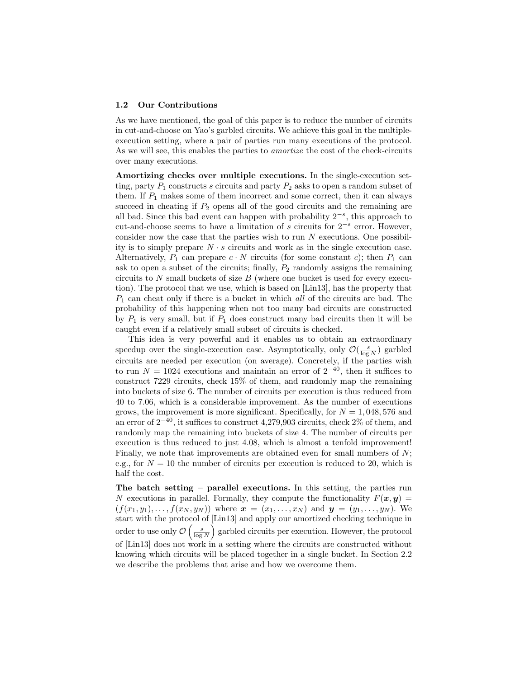#### 1.2 Our Contributions

As we have mentioned, the goal of this paper is to reduce the number of circuits in cut-and-choose on Yao's garbled circuits. We achieve this goal in the multipleexecution setting, where a pair of parties run many executions of the protocol. As we will see, this enables the parties to *amortize* the cost of the check-circuits over many executions.

Amortizing checks over multiple executions. In the single-execution setting, party  $P_1$  constructs s circuits and party  $P_2$  asks to open a random subset of them. If  $P_1$  makes some of them incorrect and some correct, then it can always succeed in cheating if  $P_2$  opens all of the good circuits and the remaining are all bad. Since this bad event can happen with probability 2−<sup>s</sup> , this approach to cut-and-choose seems to have a limitation of s circuits for  $2^{-s}$  error. However, consider now the case that the parties wish to run N executions. One possibility is to simply prepare  $N \cdot s$  circuits and work as in the single execution case. Alternatively,  $P_1$  can prepare  $c \cdot N$  circuits (for some constant c); then  $P_1$  can ask to open a subset of the circuits; finally,  $P_2$  randomly assigns the remaining circuits to  $N$  small buckets of size  $B$  (where one bucket is used for every execution). The protocol that we use, which is based on [Lin13], has the property that  $P_1$  can cheat only if there is a bucket in which all of the circuits are bad. The probability of this happening when not too many bad circuits are constructed by  $P_1$  is very small, but if  $P_1$  does construct many bad circuits then it will be caught even if a relatively small subset of circuits is checked.

This idea is very powerful and it enables us to obtain an extraordinary speedup over the single-execution case. Asymptotically, only  $\mathcal{O}(\frac{s}{\log N})$  garbled circuits are needed per execution (on average). Concretely, if the parties wish to run  $N = 1024$  executions and maintain an error of  $2^{-40}$ , then it suffices to construct 7229 circuits, check 15% of them, and randomly map the remaining into buckets of size 6. The number of circuits per execution is thus reduced from 40 to 7.06, which is a considerable improvement. As the number of executions grows, the improvement is more significant. Specifically, for  $N = 1,048,576$  and an error of 2<sup>−</sup>40, it suffices to construct 4,279,903 circuits, check 2% of them, and randomly map the remaining into buckets of size 4. The number of circuits per execution is thus reduced to just 4.08, which is almost a tenfold improvement! Finally, we note that improvements are obtained even for small numbers of  $N$ ; e.g., for  $N = 10$  the number of circuits per execution is reduced to 20, which is half the cost.

The batch setting – parallel executions. In this setting, the parties run N executions in parallel. Formally, they compute the functionality  $F(x, y) =$  $(f(x_1, y_1), \ldots, f(x_N, y_N))$  where  $\mathbf{x} = (x_1, \ldots, x_N)$  and  $\mathbf{y} = (y_1, \ldots, y_N)$ . We start with the protocol of [Lin13] and apply our amortized checking technique in order to use only  $\mathcal{O}\left(\frac{s}{\log N}\right)$  garbled circuits per execution. However, the protocol of [Lin13] does not work in a setting where the circuits are constructed without knowing which circuits will be placed together in a single bucket. In Section 2.2 we describe the problems that arise and how we overcome them.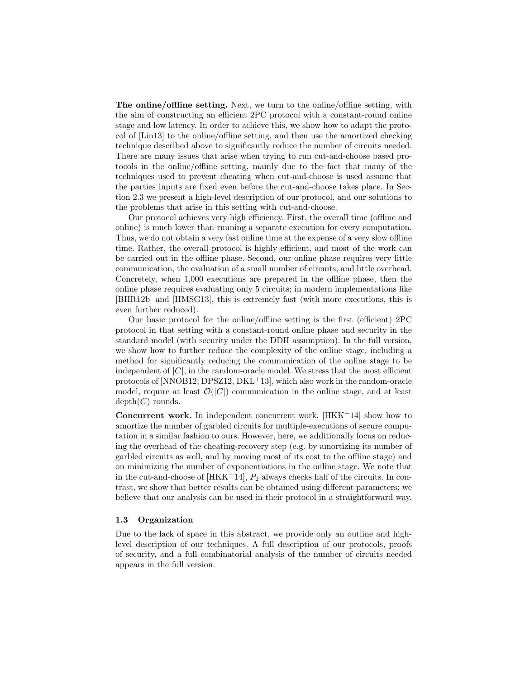The online/offline setting. Next, we turn to the online/offline setting, with the aim of constructing an efficient 2PC protocol with a constant-round online stage and low latency. In order to achieve this, we show how to adapt the protocol of [Lin13] to the online/offline setting, and then use the amortized checking technique described above to significantly reduce the number of circuits needed. There are many issues that arise when trying to run cut-and-choose based protocols in the online/offline setting, mainly due to the fact that many of the techniques used to prevent cheating when cut-and-choose is used assume that the parties inputs are fixed even before the cut-and-choose takes place. In Section 2.3 we present a high-level description of our protocol, and our solutions to the problems that arise in this setting with cut-and-choose.

Our protocol achieves very high efficiency. First, the overall time (offline and online) is much lower than running a separate execution for every computation. Thus, we do not obtain a very fast online time at the expense of a very slow offline time. Rather, the overall protocol is highly efficient, and most of the work can be carried out in the offline phase. Second, our online phase requires very little communication, the evaluation of a small number of circuits, and little overhead. Concretely, when 1,000 executions are prepared in the offline phase, then the online phase requires evaluating only 5 circuits; in modern implementations like [BHR12b] and [HMSG13], this is extremely fast (with more executions, this is even further reduced).

Our basic protocol for the online/offline setting is the first (efficient) 2PC protocol in that setting with a constant-round online phase and security in the standard model (with security under the DDH assumption). In the full version, we show how to further reduce the complexity of the online stage, including a method for significantly reducing the communication of the online stage to be independent of  $|C|$ , in the random-oracle model. We stress that the most efficient protocols of [NNOB12, DPSZ12, DKL<sup>+</sup>13], which also work in the random-oracle model, require at least  $\mathcal{O}(|C|)$  communication in the online stage, and at least  $depth(C)$  rounds.

Concurrent work. In independent concurrent work, [HKK+14] show how to amortize the number of garbled circuits for multiple-executions of secure computation in a similar fashion to ours. However, here, we additionally focus on reducing the overhead of the cheating-recovery step (e.g. by amortizing its number of garbled circuits as well, and by moving most of its cost to the offline stage) and on minimizing the number of exponentiations in the online stage. We note that in the cut-and-choose of  $[HKK^+14]$ ,  $P_2$  always checks half of the circuits. In contrast, we show that better results can be obtained using different parameters; we believe that our analysis can be used in their protocol in a straightforward way.

### 1.3 Organization

Due to the lack of space in this abstract, we provide only an outline and highlevel description of our techniques. A full description of our protocols, proofs of security, and a full combinatorial analysis of the number of circuits needed appears in the full version.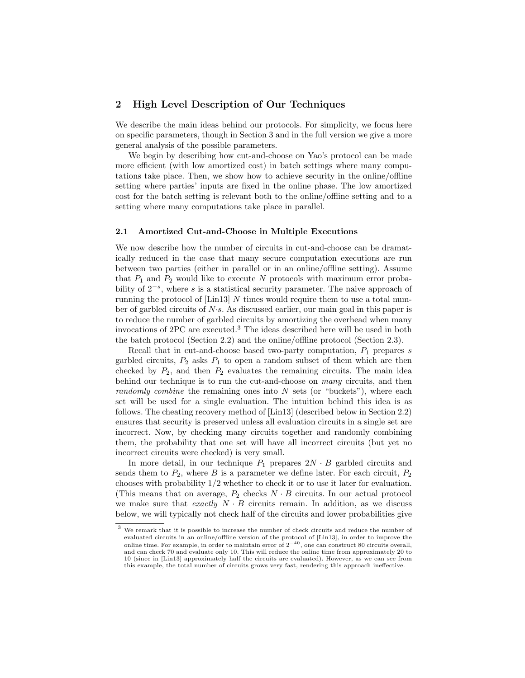# 2 High Level Description of Our Techniques

We describe the main ideas behind our protocols. For simplicity, we focus here on specific parameters, though in Section 3 and in the full version we give a more general analysis of the possible parameters.

We begin by describing how cut-and-choose on Yao's protocol can be made more efficient (with low amortized cost) in batch settings where many computations take place. Then, we show how to achieve security in the online/offline setting where parties' inputs are fixed in the online phase. The low amortized cost for the batch setting is relevant both to the online/offline setting and to a setting where many computations take place in parallel.

#### 2.1 Amortized Cut-and-Choose in Multiple Executions

We now describe how the number of circuits in cut-and-choose can be dramatically reduced in the case that many secure computation executions are run between two parties (either in parallel or in an online/offline setting). Assume that  $P_1$  and  $P_2$  would like to execute N protocols with maximum error probability of 2<sup>−</sup><sup>s</sup> , where s is a statistical security parameter. The naive approach of running the protocol of  $\text{Lin}13$  N times would require them to use a total number of garbled circuits of N·s. As discussed earlier, our main goal in this paper is to reduce the number of garbled circuits by amortizing the overhead when many invocations of 2PC are executed.<sup>3</sup> The ideas described here will be used in both the batch protocol (Section 2.2) and the online/offline protocol (Section 2.3).

Recall that in cut-and-choose based two-party computation,  $P_1$  prepares s garbled circuits,  $P_2$  asks  $P_1$  to open a random subset of them which are then checked by  $P_2$ , and then  $P_2$  evaluates the remaining circuits. The main idea behind our technique is to run the cut-and-choose on many circuits, and then randomly combine the remaining ones into  $N$  sets (or "buckets"), where each set will be used for a single evaluation. The intuition behind this idea is as follows. The cheating recovery method of [Lin13] (described below in Section 2.2) ensures that security is preserved unless all evaluation circuits in a single set are incorrect. Now, by checking many circuits together and randomly combining them, the probability that one set will have all incorrect circuits (but yet no incorrect circuits were checked) is very small.

In more detail, in our technique  $P_1$  prepares  $2N \cdot B$  garbled circuits and sends them to  $P_2$ , where B is a parameter we define later. For each circuit,  $P_2$ chooses with probability  $1/2$  whether to check it or to use it later for evaluation. (This means that on average,  $P_2$  checks  $N \cdot B$  circuits. In our actual protocol we make sure that *exactly*  $N \cdot B$  circuits remain. In addition, as we discuss below, we will typically not check half of the circuits and lower probabilities give

<sup>3</sup> We remark that it is possible to increase the number of check circuits and reduce the number of evaluated circuits in an online/offline version of the protocol of [Lin13], in order to improve the online time. For example, in order to maintain error of  $2^{-40}$ , one can construct 80 circuits overall, and can check 70 and evaluate only 10. This will reduce the online time from approximately 20 to 10 (since in [Lin13] approximately half the circuits are evaluated). However, as we can see from this example, the total number of circuits grows very fast, rendering this approach ineffective.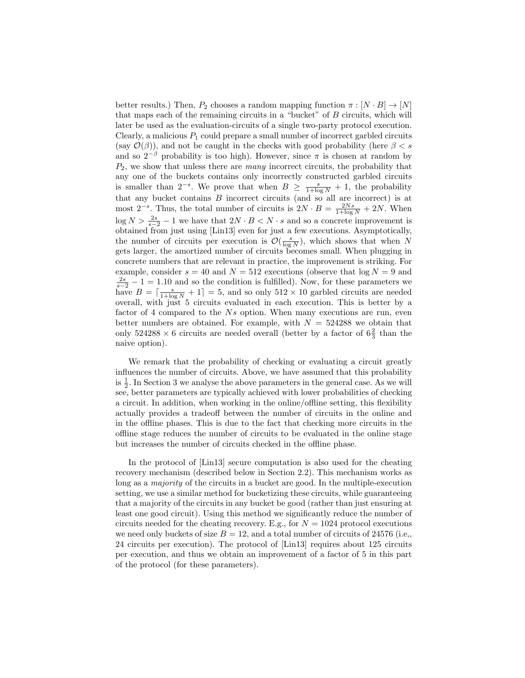better results.) Then,  $P_2$  chooses a random mapping function  $\pi : [N \cdot B] \to [N]$ that maps each of the remaining circuits in a "bucket" of B circuits, which will later be used as the evaluation-circuits of a single two-party protocol execution. Clearly, a malicious  $P_1$  could prepare a small number of incorrect garbled circuits (say  $\mathcal{O}(\beta)$ ), and not be caught in the checks with good probability (here  $\beta < s$ and so  $2^{-\beta}$  probability is too high). However, since  $\pi$  is chosen at random by  $P_2$ , we show that unless there are many incorrect circuits, the probability that any one of the buckets contains only incorrectly constructed garbled circuits is smaller than  $2^{-s}$ . We prove that when  $B \geq \frac{s}{1+\log N} + 1$ , the probability that any bucket contains B incorrect circuits (and so all are incorrect) is at most  $2^{-s}$ . Thus, the total number of circuits is  $2N \cdot B = \frac{2Ns}{1+\log N} + 2N$ . When  $\log N > \frac{2s}{s-2} - 1$  we have that  $2N \cdot B < N \cdot s$  and so a concrete improvement is obtained from just using [Lin13] even for just a few executions. Asymptotically, the number of circuits per execution is  $\mathcal{O}(\frac{s}{\log N})$ , which shows that when N gets larger, the amortized number of circuits becomes small. When plugging in concrete numbers that are relevant in practice, the improvement is striking. For example, consider  $s = 40$  and  $N = 512$  executions (observe that  $log N = 9$  and  $\frac{2s}{s-2} - 1 = 1.10$  and so the condition is fulfilled). Now, for these parameters we have  $B = \lceil \frac{s}{1+\log N} + 1 \rceil = 5$ , and so only  $512 \times 10$  garbled circuits are needed overall, with just 5 circuits evaluated in each execution. This is better by a factor of 4 compared to the  $Ns$  option. When many executions are run, even better numbers are obtained. For example, with  $N = 524288$  we obtain that only 524288  $\times$  6 circuits are needed overall (better by a factor of  $6\frac{2}{3}$  than the naive option).

We remark that the probability of checking or evaluating a circuit greatly influences the number of circuits. Above, we have assumed that this probability is  $\frac{1}{2}$ . In Section 3 we analyse the above parameters in the general case. As we will see, better parameters are typically achieved with lower probabilities of checking a circuit. In addition, when working in the online/offline setting, this flexibility actually provides a tradeoff between the number of circuits in the online and in the offline phases. This is due to the fact that checking more circuits in the offline stage reduces the number of circuits to be evaluated in the online stage but increases the number of circuits checked in the offline phase.

In the protocol of [Lin13] secure computation is also used for the cheating recovery mechanism (described below in Section 2.2). This mechanism works as long as a majority of the circuits in a bucket are good. In the multiple-execution setting, we use a similar method for bucketizing these circuits, while guaranteeing that a majority of the circuits in any bucket be good (rather than just ensuring at least one good circuit). Using this method we significantly reduce the number of circuits needed for the cheating recovery. E.g., for  $N = 1024$  protocol executions we need only buckets of size  $B = 12$ , and a total number of circuits of 24576 (i.e., 24 circuits per execution). The protocol of [Lin13] requires about 125 circuits per execution, and thus we obtain an improvement of a factor of 5 in this part of the protocol (for these parameters).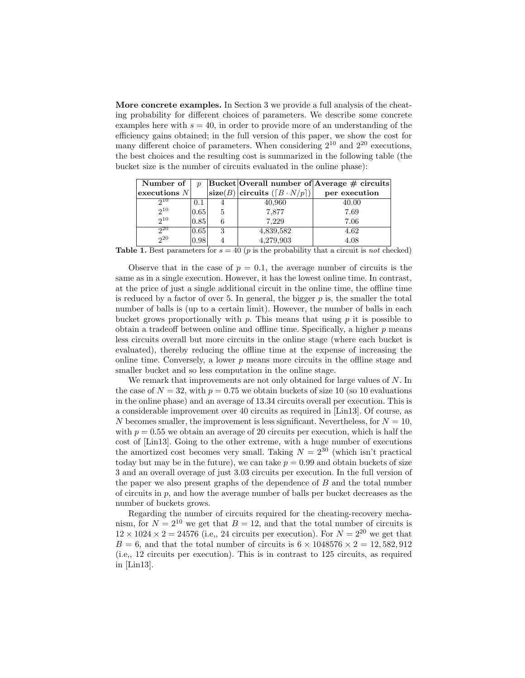More concrete examples. In Section 3 we provide a full analysis of the cheating probability for different choices of parameters. We describe some concrete examples here with  $s = 40$ , in order to provide more of an understanding of the efficiency gains obtained; in the full version of this paper, we show the cost for many different choice of parameters. When considering  $2^{10}$  and  $2^{20}$  executions, the best choices and the resulting cost is summarized in the following table (the bucket size is the number of circuits evaluated in the online phase):

| Number of             | $\boldsymbol{v}$ |   |                                                  | $ Bucket $ Overall number of Average $\#$ circuits |
|-----------------------|------------------|---|--------------------------------------------------|----------------------------------------------------|
| $\alpha$ executions N |                  |   | $ \textbf{size}(B) $ circuits $([B \cdot N/p]) $ | per execution                                      |
| $2^{10}$              | 0.1              |   | 40,960                                           | 40.00                                              |
| $2^{10}$              | 0.65             | 5 | 7,877                                            | 7.69                                               |
| $2^{10}$              | 0.85             |   | 7.229                                            | 7.06                                               |
| 20                    | 0.65             | 3 | 4,839,582                                        | 4.62                                               |
| $2^{20}$              | 0.98             |   | 4,279,903                                        | $4.08\,$                                           |

Table 1. Best parameters for  $s = 40$  (p is the probability that a circuit is not checked)

Observe that in the case of  $p = 0.1$ , the average number of circuits is the same as in a single execution. However, it has the lowest online time. In contrast, at the price of just a single additional circuit in the online time, the offline time is reduced by a factor of over 5. In general, the bigger  $p$  is, the smaller the total number of balls is (up to a certain limit). However, the number of balls in each bucket grows proportionally with  $p$ . This means that using  $p$  it is possible to obtain a tradeoff between online and offline time. Specifically, a higher  $p$  means less circuits overall but more circuits in the online stage (where each bucket is evaluated), thereby reducing the offline time at the expense of increasing the online time. Conversely, a lower  $p$  means more circuits in the offline stage and smaller bucket and so less computation in the online stage.

We remark that improvements are not only obtained for large values of N. In the case of  $N = 32$ , with  $p = 0.75$  we obtain buckets of size 10 (so 10 evaluations in the online phase) and an average of 13.34 circuits overall per execution. This is a considerable improvement over 40 circuits as required in [Lin13]. Of course, as N becomes smaller, the improvement is less significant. Nevertheless, for  $N = 10$ , with  $p = 0.55$  we obtain an average of 20 circuits per execution, which is half the cost of [Lin13]. Going to the other extreme, with a huge number of executions the amortized cost becomes very small. Taking  $N = 2^{30}$  (which isn't practical today but may be in the future), we can take  $p = 0.99$  and obtain buckets of size 3 and an overall overage of just 3.03 circuits per execution. In the full version of the paper we also present graphs of the dependence of  $B$  and the total number of circuits in  $p$ , and how the average number of balls per bucket decreases as the number of buckets grows.

Regarding the number of circuits required for the cheating-recovery mechanism, for  $N = 2^{10}$  we get that  $B = 12$ , and that the total number of circuits is  $12 \times 1024 \times 2 = 24576$  (i.e., 24 circuits per execution). For  $N = 2^{20}$  we get that  $B = 6$ , and that the total number of circuits is  $6 \times 1048576 \times 2 = 12,582,912$ (i.e,, 12 circuits per execution). This is in contrast to 125 circuits, as required in [Lin13].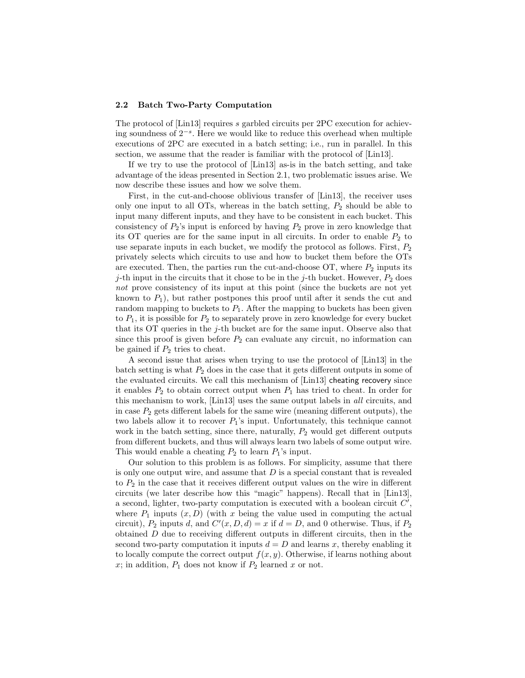#### 2.2 Batch Two-Party Computation

The protocol of [Lin13] requires s garbled circuits per 2PC execution for achieving soundness of 2−<sup>s</sup> . Here we would like to reduce this overhead when multiple executions of 2PC are executed in a batch setting; i.e., run in parallel. In this section, we assume that the reader is familiar with the protocol of [Lin13].

If we try to use the protocol of [Lin13] as-is in the batch setting, and take advantage of the ideas presented in Section 2.1, two problematic issues arise. We now describe these issues and how we solve them.

First, in the cut-and-choose oblivious transfer of [Lin13], the receiver uses only one input to all OTs, whereas in the batch setting,  $P_2$  should be able to input many different inputs, and they have to be consistent in each bucket. This consistency of  $P_2$ 's input is enforced by having  $P_2$  prove in zero knowledge that its OT queries are for the same input in all circuits. In order to enable  $P_2$  to use separate inputs in each bucket, we modify the protocol as follows. First,  $P_2$ privately selects which circuits to use and how to bucket them before the OTs are executed. Then, the parties run the cut-and-choose  $\overline{OT}$ , where  $P_2$  inputs its j-th input in the circuits that it chose to be in the j-th bucket. However,  $P_2$  does not prove consistency of its input at this point (since the buckets are not yet known to  $P_1$ ), but rather postpones this proof until after it sends the cut and random mapping to buckets to  $P_1$ . After the mapping to buckets has been given to  $P_1$ , it is possible for  $P_2$  to separately prove in zero knowledge for every bucket that its OT queries in the  $j$ -th bucket are for the same input. Observe also that since this proof is given before  $P_2$  can evaluate any circuit, no information can be gained if  $P_2$  tries to cheat.

A second issue that arises when trying to use the protocol of [Lin13] in the batch setting is what  $P_2$  does in the case that it gets different outputs in some of the evaluated circuits. We call this mechanism of [Lin13] cheating recovery since it enables  $P_2$  to obtain correct output when  $P_1$  has tried to cheat. In order for this mechanism to work, [Lin13] uses the same output labels in all circuits, and in case  $P_2$  gets different labels for the same wire (meaning different outputs), the two labels allow it to recover  $P_1$ 's input. Unfortunately, this technique cannot work in the batch setting, since there, naturally,  $P_2$  would get different outputs from different buckets, and thus will always learn two labels of some output wire. This would enable a cheating  $P_2$  to learn  $P_1$ 's input.

Our solution to this problem is as follows. For simplicity, assume that there is only one output wire, and assume that  $D$  is a special constant that is revealed to  $P_2$  in the case that it receives different output values on the wire in different circuits (we later describe how this "magic" happens). Recall that in [Lin13], a second, lighter, two-party computation is executed with a boolean circuit  $C'$ , where  $P_1$  inputs  $(x, D)$  (with x being the value used in computing the actual circuit),  $P_2$  inputs d, and  $C'(x, D, d) = x$  if  $d = D$ , and 0 otherwise. Thus, if  $P_2$ obtained D due to receiving different outputs in different circuits, then in the second two-party computation it inputs  $d = D$  and learns x, thereby enabling it to locally compute the correct output  $f(x, y)$ . Otherwise, if learns nothing about x; in addition,  $P_1$  does not know if  $P_2$  learned x or not.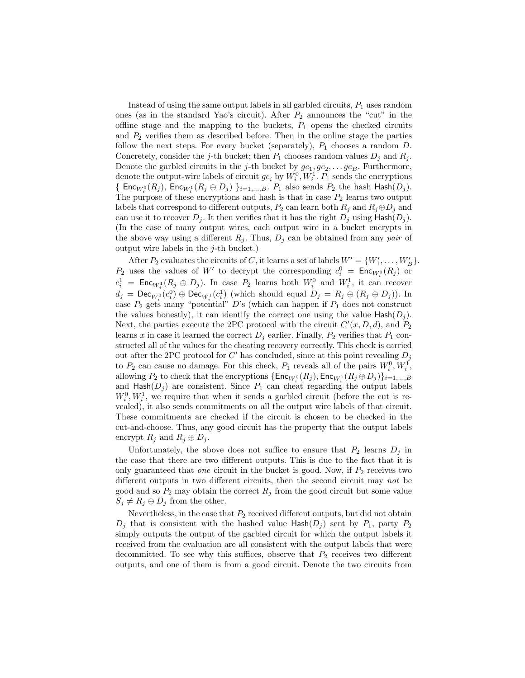Instead of using the same output labels in all garbled circuits,  $P_1$  uses random ones (as in the standard Yao's circuit). After  $P_2$  announces the "cut" in the offline stage and the mapping to the buckets,  $P_1$  opens the checked circuits and  $P_2$  verifies them as described before. Then in the online stage the parties follow the next steps. For every bucket (separately),  $P_1$  chooses a random  $D$ . Concretely, consider the j-th bucket; then  $P_1$  chooses random values  $D_i$  and  $R_i$ . Denote the garbled circuits in the *j*-th bucket by  $gc_1, gc_2, \ldots gc_B$ . Furthermore, denote the output-wire labels of circuit  $gc_i$  by  $W_i^0, W_i^1, P_1$  sends the encryptions  $\{\text{\rm Enc}_{W_i^0}(R_j), \text{\rm Enc}_{W_i^1}(R_j \oplus D_j)\}_{i=1,...,B}$ .  $P_1$  also sends  $P_2$  the hash  $\text{\rm Hash}(D_j)$ . The purpose of these encryptions and hash is that in case  $P_2$  learns two output labels that correspond to different outputs,  $P_2$  can learn both  $R_i$  and  $R_i \oplus D_i$  and can use it to recover  $D_j$ . It then verifies that it has the right  $D_j$  using  $\mathsf{Hash}(D_j)$ . (In the case of many output wires, each output wire in a bucket encrypts in the above way using a different  $R_j$ . Thus,  $D_j$  can be obtained from any pair of output wire labels in the  $j$ -th bucket.)

After  $P_2$  evaluates the circuits of C, it learns a set of labels  $W' = \{W'_1, \ldots, W'_B\}.$  $P_2$  uses the values of W' to decrypt the corresponding  $c_i^0 = \text{Enc}_{W_i^0}(R_j)$  or  $c_i^1 = \text{Enc}_{W_i^1}(R_j \oplus D_j)$ . In case  $P_2$  learns both  $W_i^0$  and  $W_i^1$ , it can recover  $d_j = \mathsf{Dec}_{W_i^0}(c_i^0) \oplus \mathsf{Dec}_{W_i^1}(c_i^1)$  (which should equal  $D_j = R_j \oplus (R_j \oplus D_j)$ ). In case  $P_2$  gets many "potential" D's (which can happen if  $P_1$  does not construct the values honestly), it can identify the correct one using the value  $\textsf{Hash}(D_i)$ . Next, the parties execute the 2PC protocol with the circuit  $C'(x, D, d)$ , and  $P_2$ learns x in case it learned the correct  $D_i$  earlier. Finally,  $P_2$  verifies that  $P_1$  constructed all of the values for the cheating recovery correctly. This check is carried out after the 2PC protocol for  $C'$  has concluded, since at this point revealing  $D_j$ to  $P_2$  can cause no damage. For this check,  $P_1$  reveals all of the pairs  $W_i^0, W_i^1$ , allowing  $P_2$  to check that the encryptions  $\{\mathsf{Enc}_{W_i^0}(R_j), \mathsf{Enc}_{W_i^1}(R_j \oplus D_j)\}_{i=1,\dots,B}$ and Hash $(D_j)$  are consistent. Since  $P_1$  can cheat regarding the output labels  $W_i^0, W_i^1$ , we require that when it sends a garbled circuit (before the cut is revealed), it also sends commitments on all the output wire labels of that circuit. These commitments are checked if the circuit is chosen to be checked in the cut-and-choose. Thus, any good circuit has the property that the output labels encrypt  $R_j$  and  $R_j \oplus D_j$ .

Unfortunately, the above does not suffice to ensure that  $P_2$  learns  $D_j$  in the case that there are two different outputs. This is due to the fact that it is only guaranteed that *one* circuit in the bucket is good. Now, if  $P_2$  receives two different outputs in two different circuits, then the second circuit may not be good and so  $P_2$  may obtain the correct  $R_j$  from the good circuit but some value  $S_j \neq R_j \oplus D_j$  from the other.

Nevertheless, in the case that  $P_2$  received different outputs, but did not obtain  $D_i$  that is consistent with the hashed value Hash $(D_i)$  sent by  $P_1$ , party  $P_2$ simply outputs the output of the garbled circuit for which the output labels it received from the evaluation are all consistent with the output labels that were decommitted. To see why this suffices, observe that  $P_2$  receives two different outputs, and one of them is from a good circuit. Denote the two circuits from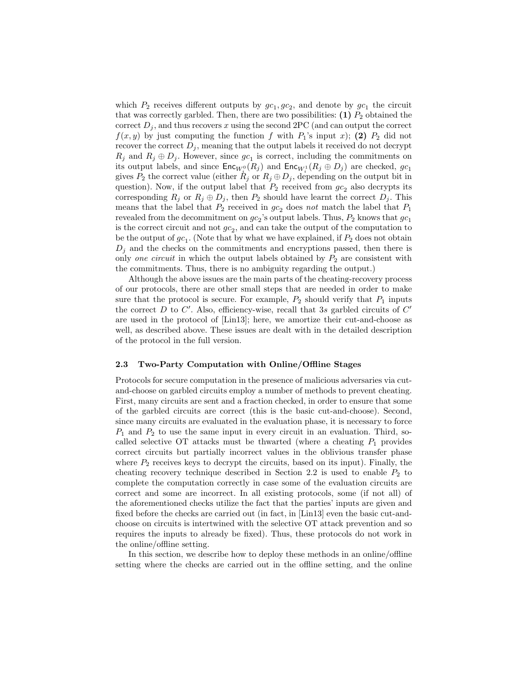which  $P_2$  receives different outputs by  $gc_1, gc_2$ , and denote by  $gc_1$  the circuit that was correctly garbled. Then, there are two possibilities:  $(1)$   $P_2$  obtained the correct  $D_i$ , and thus recovers x using the second 2PC (and can output the correct  $f(x, y)$  by just computing the function f with  $P_1$ 's input x); (2)  $P_2$  did not recover the correct  $D_i$ , meaning that the output labels it received do not decrypt  $R_j$  and  $R_j \oplus D_j$ . However, since  $gc_1$  is correct, including the commitments on its output labels, and since  $\mathsf{Enc}_{W_i^0}(R_j)$  and  $\mathsf{Enc}_{W_i^1}(R_j \oplus D_j)$  are checked,  $gc_1$ gives  $P_2$  the correct value (either  $R_j$  or  $R_j \oplus D_j$ , depending on the output bit in question). Now, if the output label that  $P_2$  received from  $gc_2$  also decrypts its corresponding  $R_j$  or  $R_j \oplus D_j$ , then  $P_2$  should have learnt the correct  $D_j$ . This means that the label that  $P_2$  received in  $gc_2$  does not match the label that  $P_1$ revealed from the decommitment on  $gc_2$ 's output labels. Thus,  $P_2$  knows that  $gc_1$ is the correct circuit and not  $gc_2$ , and can take the output of the computation to be the output of  $gc_1$ . (Note that by what we have explained, if  $P_2$  does not obtain  $D_j$  and the checks on the commitments and encryptions passed, then there is only one circuit in which the output labels obtained by  $P_2$  are consistent with the commitments. Thus, there is no ambiguity regarding the output.)

Although the above issues are the main parts of the cheating-recovery process of our protocols, there are other small steps that are needed in order to make sure that the protocol is secure. For example,  $P_2$  should verify that  $P_1$  inputs the correct  $D$  to  $C'$ . Also, efficiency-wise, recall that 3s garbled circuits of  $C'$ are used in the protocol of [Lin13]; here, we amortize their cut-and-choose as well, as described above. These issues are dealt with in the detailed description of the protocol in the full version.

#### 2.3 Two-Party Computation with Online/Offline Stages

Protocols for secure computation in the presence of malicious adversaries via cutand-choose on garbled circuits employ a number of methods to prevent cheating. First, many circuits are sent and a fraction checked, in order to ensure that some of the garbled circuits are correct (this is the basic cut-and-choose). Second, since many circuits are evaluated in the evaluation phase, it is necessary to force  $P_1$  and  $P_2$  to use the same input in every circuit in an evaluation. Third, socalled selective OT attacks must be thwarted (where a cheating  $P_1$  provides correct circuits but partially incorrect values in the oblivious transfer phase where  $P_2$  receives keys to decrypt the circuits, based on its input). Finally, the cheating recovery technique described in Section 2.2 is used to enable  $P_2$  to complete the computation correctly in case some of the evaluation circuits are correct and some are incorrect. In all existing protocols, some (if not all) of the aforementioned checks utilize the fact that the parties' inputs are given and fixed before the checks are carried out (in fact, in [Lin13] even the basic cut-andchoose on circuits is intertwined with the selective OT attack prevention and so requires the inputs to already be fixed). Thus, these protocols do not work in the online/offline setting.

In this section, we describe how to deploy these methods in an online/offline setting where the checks are carried out in the offline setting, and the online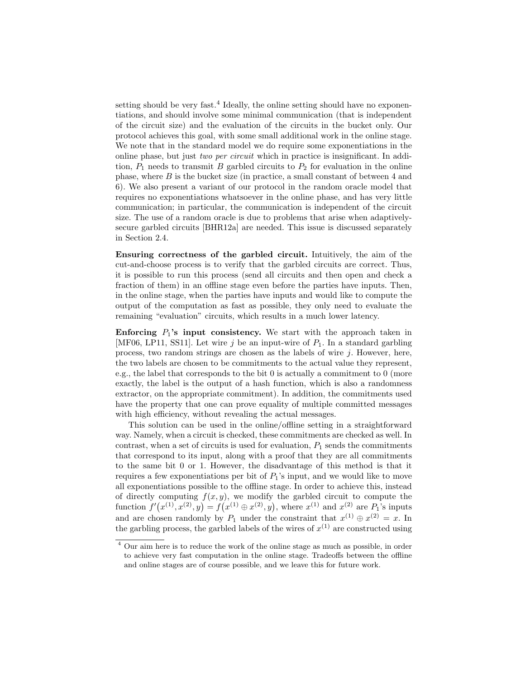setting should be very fast.<sup>4</sup> Ideally, the online setting should have no exponentiations, and should involve some minimal communication (that is independent of the circuit size) and the evaluation of the circuits in the bucket only. Our protocol achieves this goal, with some small additional work in the online stage. We note that in the standard model we do require some exponentiations in the online phase, but just two per circuit which in practice is insignificant. In addition,  $P_1$  needs to transmit B garbled circuits to  $P_2$  for evaluation in the online phase, where B is the bucket size (in practice, a small constant of between 4 and 6). We also present a variant of our protocol in the random oracle model that requires no exponentiations whatsoever in the online phase, and has very little communication; in particular, the communication is independent of the circuit size. The use of a random oracle is due to problems that arise when adaptivelysecure garbled circuits [BHR12a] are needed. This issue is discussed separately in Section 2.4.

Ensuring correctness of the garbled circuit. Intuitively, the aim of the cut-and-choose process is to verify that the garbled circuits are correct. Thus, it is possible to run this process (send all circuits and then open and check a fraction of them) in an offline stage even before the parties have inputs. Then, in the online stage, when the parties have inputs and would like to compute the output of the computation as fast as possible, they only need to evaluate the remaining "evaluation" circuits, which results in a much lower latency.

**Enforcing**  $P_1$ 's input consistency. We start with the approach taken in [MF06, LP11, SS11]. Let wire j be an input-wire of  $P_1$ . In a standard garbling process, two random strings are chosen as the labels of wire  $j$ . However, here, the two labels are chosen to be commitments to the actual value they represent, e.g., the label that corresponds to the bit 0 is actually a commitment to 0 (more exactly, the label is the output of a hash function, which is also a randomness extractor, on the appropriate commitment). In addition, the commitments used have the property that one can prove equality of multiple committed messages with high efficiency, without revealing the actual messages.

This solution can be used in the online/offline setting in a straightforward way. Namely, when a circuit is checked, these commitments are checked as well. In contrast, when a set of circuits is used for evaluation,  $P_1$  sends the commitments that correspond to its input, along with a proof that they are all commitments to the same bit 0 or 1. However, the disadvantage of this method is that it requires a few exponentiations per bit of  $P_1$ 's input, and we would like to move all exponentiations possible to the offline stage. In order to achieve this, instead of directly computing  $f(x, y)$ , we modify the garbled circuit to compute the function  $f'(x^{(1)}, x^{(2)}, y) = f(x^{(1)} \oplus x^{(2)}, y)$ , where  $x^{(1)}$  and  $x^{(2)}$  are  $P_1$ 's inputs and are chosen randomly by  $P_1$  under the constraint that  $x^{(1)} \oplus x^{(2)} = x$ . In the garbling process, the garbled labels of the wires of  $x^{(1)}$  are constructed using

<sup>4</sup> Our aim here is to reduce the work of the online stage as much as possible, in order to achieve very fast computation in the online stage. Tradeoffs between the offline and online stages are of course possible, and we leave this for future work.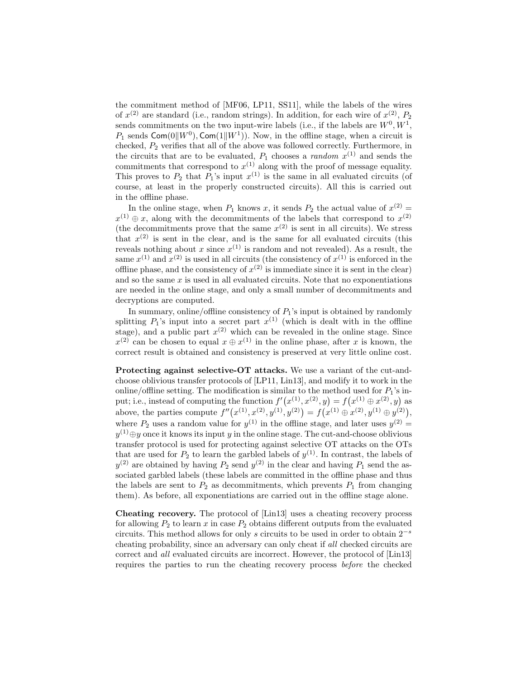the commitment method of [MF06, LP11, SS11], while the labels of the wires of  $x^{(2)}$  are standard (i.e., random strings). In addition, for each wire of  $x^{(2)}$ ,  $P_2$ sends commitments on the two input-wire labels (i.e., if the labels are  $W^0, W^1$ ,  $P_1$  sends  $\textsf{Com}(0||W^0)$ ,  $\textsf{Com}(1||W^1)$ ). Now, in the offline stage, when a circuit is checked,  $P_2$  verifies that all of the above was followed correctly. Furthermore, in the circuits that are to be evaluated,  $P_1$  chooses a *random*  $x^{(1)}$  and sends the commitments that correspond to  $x^{(1)}$  along with the proof of message equality. This proves to  $P_2$  that  $P_1$ 's input  $x^{(1)}$  is the same in all evaluated circuits (of course, at least in the properly constructed circuits). All this is carried out in the offline phase.

In the online stage, when  $P_1$  knows x, it sends  $P_2$  the actual value of  $x^{(2)} =$  $x^{(1)} \oplus x$ , along with the decommitments of the labels that correspond to  $x^{(2)}$ (the decommitments prove that the same  $x^{(2)}$  is sent in all circuits). We stress that  $x^{(2)}$  is sent in the clear, and is the same for all evaluated circuits (this reveals nothing about x since  $x^{(1)}$  is random and not revealed). As a result, the same  $x^{(1)}$  and  $x^{(2)}$  is used in all circuits (the consistency of  $x^{(1)}$  is enforced in the offline phase, and the consistency of  $x^{(2)}$  is immediate since it is sent in the clear) and so the same  $x$  is used in all evaluated circuits. Note that no exponentiations are needed in the online stage, and only a small number of decommitments and decryptions are computed.

In summary, online/offline consistency of  $P_1$ 's input is obtained by randomly splitting  $P_1$ 's input into a secret part  $x^{(1)}$  (which is dealt with in the offline stage), and a public part  $x^{(2)}$  which can be revealed in the online stage. Since  $x^{(2)}$  can be chosen to equal  $x \oplus x^{(1)}$  in the online phase, after x is known, the correct result is obtained and consistency is preserved at very little online cost.

Protecting against selective-OT attacks. We use a variant of the cut-andchoose oblivious transfer protocols of [LP11, Lin13], and modify it to work in the online/offline setting. The modification is similar to the method used for  $P_1$ 's input; i.e., instead of computing the function  $f'(x^{(1)}, x^{(2)}, y) = f(x^{(1)} \oplus x^{(2)}, y)$  as above, the parties compute  $f''(x^{(1)}, x^{(2)}, y^{(1)}, y^{(2)}) = f(x^{(1)} \oplus x^{(2)}, y^{(1)} \oplus y^{(2)}),$ where  $P_2$  uses a random value for  $y^{(1)}$  in the offline stage, and later uses  $y^{(2)} =$  $y^{(1)}$ ⊕y once it knows its input y in the online stage. The cut-and-choose oblivious transfer protocol is used for protecting against selective OT attacks on the OTs that are used for  $P_2$  to learn the garbled labels of  $y^{(1)}$ . In contrast, the labels of  $y^{(2)}$  are obtained by having  $P_2$  send  $y^{(2)}$  in the clear and having  $P_1$  send the associated garbled labels (these labels are committed in the offline phase and thus the labels are sent to  $P_2$  as decommitments, which prevents  $P_1$  from changing them). As before, all exponentiations are carried out in the offline stage alone.

Cheating recovery. The protocol of [Lin13] uses a cheating recovery process for allowing  $P_2$  to learn x in case  $P_2$  obtains different outputs from the evaluated circuits. This method allows for only s circuits to be used in order to obtain 2<sup>−</sup><sup>s</sup> cheating probability, since an adversary can only cheat if all checked circuits are correct and all evaluated circuits are incorrect. However, the protocol of [Lin13] requires the parties to run the cheating recovery process before the checked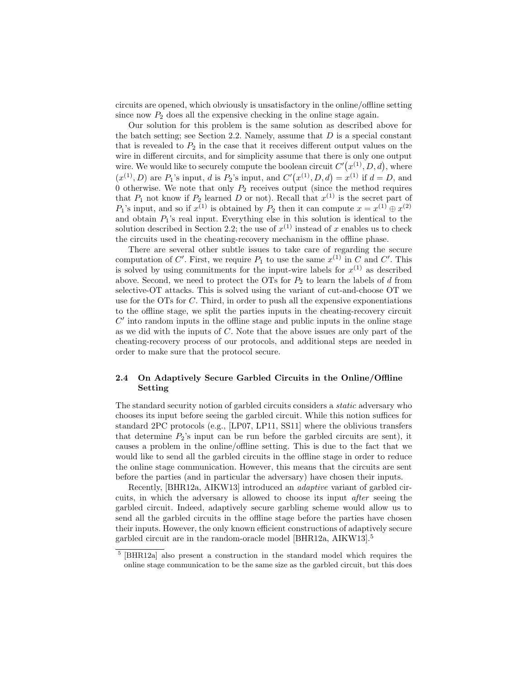circuits are opened, which obviously is unsatisfactory in the online/offline setting since now  $P_2$  does all the expensive checking in the online stage again.

Our solution for this problem is the same solution as described above for the batch setting; see Section 2.2. Namely, assume that  $D$  is a special constant that is revealed to  $P_2$  in the case that it receives different output values on the wire in different circuits, and for simplicity assume that there is only one output wire. We would like to securely compute the boolean circuit  $C'(x^{(1)}, D, d)$ , where  $(x^{(1)}, D)$  are  $P_1$ 's input, d is  $P_2$ 's input, and  $C'(x^{(1)}, D, d) = x^{(1)}$  if  $d = D$ , and 0 otherwise. We note that only  $P_2$  receives output (since the method requires that  $P_1$  not know if  $P_2$  learned D or not). Recall that  $x^{(1)}$  is the secret part of  $P_1$ 's input, and so if  $x^{(1)}$  is obtained by  $P_2$  then it can compute  $x = x^{(1)} \oplus x^{(2)}$ and obtain  $P_1$ 's real input. Everything else in this solution is identical to the solution described in Section 2.2; the use of  $x^{(1)}$  instead of x enables us to check the circuits used in the cheating-recovery mechanism in the offline phase.

There are several other subtle issues to take care of regarding the secure computation of C'. First, we require  $P_1$  to use the same  $x^{(1)}$  in C and C'. This is solved by using commitments for the input-wire labels for  $x^{(1)}$  as described above. Second, we need to protect the OTs for  $P_2$  to learn the labels of d from selective-OT attacks. This is solved using the variant of cut-and-choose OT we use for the OTs for C. Third, in order to push all the expensive exponentiations to the offline stage, we split the parties inputs in the cheating-recovery circuit  $C'$  into random inputs in the offline stage and public inputs in the online stage as we did with the inputs of  $C$ . Note that the above issues are only part of the cheating-recovery process of our protocols, and additional steps are needed in order to make sure that the protocol secure.

# 2.4 On Adaptively Secure Garbled Circuits in the Online/Offline Setting

The standard security notion of garbled circuits considers a static adversary who chooses its input before seeing the garbled circuit. While this notion suffices for standard 2PC protocols (e.g., [LP07, LP11, SS11] where the oblivious transfers that determine  $P_2$ 's input can be run before the garbled circuits are sent), it causes a problem in the online/offline setting. This is due to the fact that we would like to send all the garbled circuits in the offline stage in order to reduce the online stage communication. However, this means that the circuits are sent before the parties (and in particular the adversary) have chosen their inputs.

Recently, [BHR12a, AIKW13] introduced an adaptive variant of garbled circuits, in which the adversary is allowed to choose its input after seeing the garbled circuit. Indeed, adaptively secure garbling scheme would allow us to send all the garbled circuits in the offline stage before the parties have chosen their inputs. However, the only known efficient constructions of adaptively secure garbled circuit are in the random-oracle model [BHR12a, AIKW13].<sup>5</sup>

<sup>&</sup>lt;sup>5</sup> [BHR12a] also present a construction in the standard model which requires the online stage communication to be the same size as the garbled circuit, but this does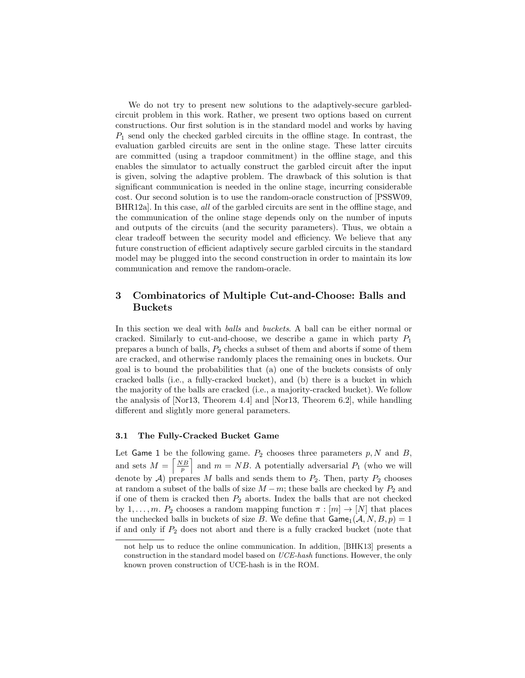We do not try to present new solutions to the adaptively-secure garbledcircuit problem in this work. Rather, we present two options based on current constructions. Our first solution is in the standard model and works by having  $P_1$  send only the checked garbled circuits in the offline stage. In contrast, the evaluation garbled circuits are sent in the online stage. These latter circuits are committed (using a trapdoor commitment) in the offline stage, and this enables the simulator to actually construct the garbled circuit after the input is given, solving the adaptive problem. The drawback of this solution is that significant communication is needed in the online stage, incurring considerable cost. Our second solution is to use the random-oracle construction of [PSSW09, BHR12a]. In this case, all of the garbled circuits are sent in the offline stage, and the communication of the online stage depends only on the number of inputs and outputs of the circuits (and the security parameters). Thus, we obtain a clear tradeoff between the security model and efficiency. We believe that any future construction of efficient adaptively secure garbled circuits in the standard model may be plugged into the second construction in order to maintain its low communication and remove the random-oracle.

# 3 Combinatorics of Multiple Cut-and-Choose: Balls and Buckets

In this section we deal with balls and buckets. A ball can be either normal or cracked. Similarly to cut-and-choose, we describe a game in which party  $P_1$ prepares a bunch of balls,  $P_2$  checks a subset of them and aborts if some of them are cracked, and otherwise randomly places the remaining ones in buckets. Our goal is to bound the probabilities that (a) one of the buckets consists of only cracked balls (i.e., a fully-cracked bucket), and (b) there is a bucket in which the majority of the balls are cracked (i.e., a majority-cracked bucket). We follow the analysis of [Nor13, Theorem 4.4] and [Nor13, Theorem 6.2], while handling different and slightly more general parameters.

#### 3.1 The Fully-Cracked Bucket Game

Let Game 1 be the following game.  $P_2$  chooses three parameters  $p, N$  and  $B$ , and sets  $M = \left\lceil \frac{NB}{p} \right\rceil$  and  $m = NB$ . A potentially adversarial  $P_1$  (who we will denote by  $A$ ) prepares M balls and sends them to  $P_2$ . Then, party  $P_2$  chooses at random a subset of the balls of size  $M - m$ ; these balls are checked by  $P_2$  and if one of them is cracked then  $P_2$  aborts. Index the balls that are not checked by 1, ..., m.  $P_2$  chooses a random mapping function  $\pi : [m] \to [N]$  that places the unchecked balls in buckets of size B. We define that  $\mathsf{Game}_1(\mathcal{A}, N, B, p) = 1$ if and only if  $P_2$  does not abort and there is a fully cracked bucket (note that

not help us to reduce the online communication. In addition, [BHK13] presents a construction in the standard model based on UCE-hash functions. However, the only known proven construction of UCE-hash is in the ROM.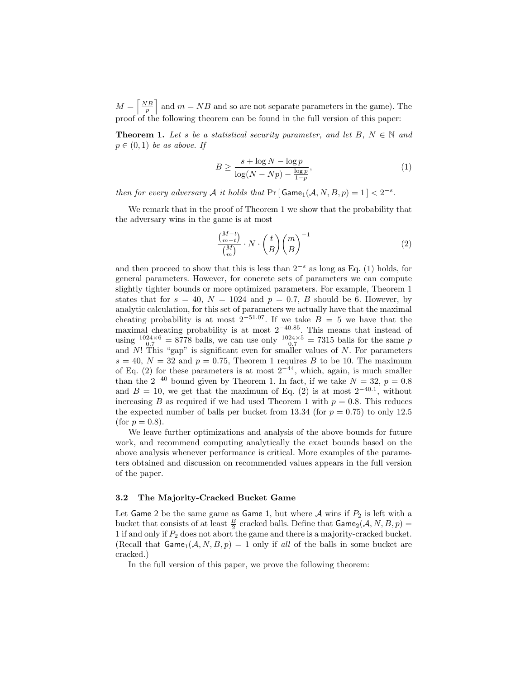$M = \left\lceil \frac{NB}{p} \right\rceil$  and  $m = NB$  and so are not separate parameters in the game). The proof of the following theorem can be found in the full version of this paper:

**Theorem 1.** Let s be a statistical security parameter, and let B,  $N \in \mathbb{N}$  and  $p \in (0,1)$  be as above. If

$$
B \ge \frac{s + \log N - \log p}{\log(N - Np) - \frac{\log p}{1 - p}},\tag{1}
$$

then for every adversary A it holds that  $Pr[\text{Game}_1(\mathcal{A}, N, B, p) = 1] < 2^{-s}$ .

We remark that in the proof of Theorem 1 we show that the probability that the adversary wins in the game is at most

$$
\frac{\binom{M-t}{m-t}}{\binom{M}{m}} \cdot N \cdot \binom{t}{B} \binom{m}{B}^{-1} \tag{2}
$$

and then proceed to show that this is less than  $2^{-s}$  as long as Eq. (1) holds, for general parameters. However, for concrete sets of parameters we can compute slightly tighter bounds or more optimized parameters. For example, Theorem 1 states that for  $s = 40$ ,  $N = 1024$  and  $p = 0.7$ , B should be 6. However, by analytic calculation, for this set of parameters we actually have that the maximal cheating probability is at most  $2^{-51.07}$ . If we take  $B = 5$  we have that the maximal cheating probability is at most  $2^{-40.85}$ . This means that instead of using  $\frac{1024\times6}{0.7}$  = 8778 balls, we can use only  $\frac{1024\times5}{0.7}$  = 7315 balls for the same p and  $N!$  This "gap" is significant even for smaller values of  $N$ . For parameters  $s = 40, N = 32$  and  $p = 0.75$ , Theorem 1 requires B to be 10. The maximum of Eq. (2) for these parameters is at most  $2^{-44}$ , which, again, is much smaller than the  $2^{-40}$  bound given by Theorem 1. In fact, if we take  $N = 32$ ,  $p = 0.8$ and  $B = 10$ , we get that the maximum of Eq. (2) is at most  $2^{-40.1}$ , without increasing B as required if we had used Theorem 1 with  $p = 0.8$ . This reduces the expected number of balls per bucket from 13.34 (for  $p = 0.75$ ) to only 12.5 (for  $p = 0.8$ ).

We leave further optimizations and analysis of the above bounds for future work, and recommend computing analytically the exact bounds based on the above analysis whenever performance is critical. More examples of the parameters obtained and discussion on recommended values appears in the full version of the paper.

#### 3.2 The Majority-Cracked Bucket Game

Let Game 2 be the same game as Game 1, but where  $A$  wins if  $P_2$  is left with a bucket that consists of at least  $\frac{B}{2}$  cracked balls. Define that  $\mathsf{Game}_2(\mathcal{A}, N, B, p) =$ 1 if and only if  $P_2$  does not abort the game and there is a majority-cracked bucket. (Recall that  $\textsf{Game}_1(\mathcal{A}, N, B, p) = 1$  only if all of the balls in some bucket are cracked.)

In the full version of this paper, we prove the following theorem: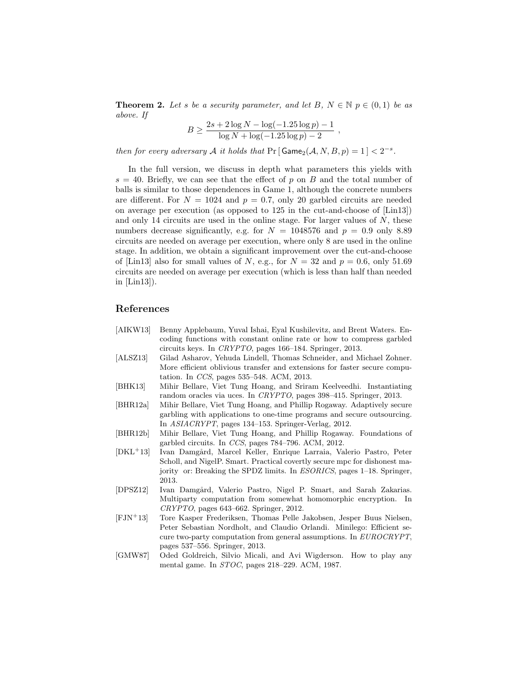**Theorem 2.** Let s be a security parameter, and let B,  $N \in \mathbb{N}$   $p \in (0,1)$  be as above. If

$$
B \ge \frac{2s + 2\log N - \log(-1.25\log p) - 1}{\log N + \log(-1.25\log p) - 2} ,
$$

then for every adversary A it holds that  $Pr[\text{Game}_2(\mathcal{A}, N, B, p) = 1] < 2^{-s}$ .

In the full version, we discuss in depth what parameters this yields with  $s = 40$ . Briefly, we can see that the effect of p on B and the total number of balls is similar to those dependences in Game 1, although the concrete numbers are different. For  $N = 1024$  and  $p = 0.7$ , only 20 garbled circuits are needed on average per execution (as opposed to 125 in the cut-and-choose of [Lin13]) and only 14 circuits are used in the online stage. For larger values of  $N$ , these numbers decrease significantly, e.g. for  $N = 1048576$  and  $p = 0.9$  only 8.89 circuits are needed on average per execution, where only 8 are used in the online stage. In addition, we obtain a significant improvement over the cut-and-choose of [Lin13] also for small values of N, e.g., for  $N = 32$  and  $p = 0.6$ , only 51.69 circuits are needed on average per execution (which is less than half than needed in [Lin13]).

# References

- [AIKW13] Benny Applebaum, Yuval Ishai, Eyal Kushilevitz, and Brent Waters. Encoding functions with constant online rate or how to compress garbled circuits keys. In CRYPTO, pages 166–184. Springer, 2013.
- [ALSZ13] Gilad Asharov, Yehuda Lindell, Thomas Schneider, and Michael Zohner. More efficient oblivious transfer and extensions for faster secure computation. In CCS, pages 535–548. ACM, 2013.
- [BHK13] Mihir Bellare, Viet Tung Hoang, and Sriram Keelveedhi. Instantiating random oracles via uces. In CRYPTO, pages 398–415. Springer, 2013.
- [BHR12a] Mihir Bellare, Viet Tung Hoang, and Phillip Rogaway. Adaptively secure garbling with applications to one-time programs and secure outsourcing. In ASIACRYPT, pages 134–153. Springer-Verlag, 2012.
- [BHR12b] Mihir Bellare, Viet Tung Hoang, and Phillip Rogaway. Foundations of garbled circuits. In CCS, pages 784–796. ACM, 2012.
- [DKL<sup>+</sup>13] Ivan Damgård, Marcel Keller, Enrique Larraia, Valerio Pastro, Peter Scholl, and NigelP. Smart. Practical covertly secure mpc for dishonest majority or: Breaking the SPDZ limits. In ESORICS, pages 1–18. Springer, 2013.
- [DPSZ12] Ivan Damgård, Valerio Pastro, Nigel P. Smart, and Sarah Zakarias. Multiparty computation from somewhat homomorphic encryption. In CRYPTO, pages 643–662. Springer, 2012.
- [FJN<sup>+</sup>13] Tore Kasper Frederiksen, Thomas Pelle Jakobsen, Jesper Buus Nielsen, Peter Sebastian Nordholt, and Claudio Orlandi. Minilego: Efficient secure two-party computation from general assumptions. In EUROCRYPT, pages 537–556. Springer, 2013.
- [GMW87] Oded Goldreich, Silvio Micali, and Avi Wigderson. How to play any mental game. In STOC, pages 218–229. ACM, 1987.